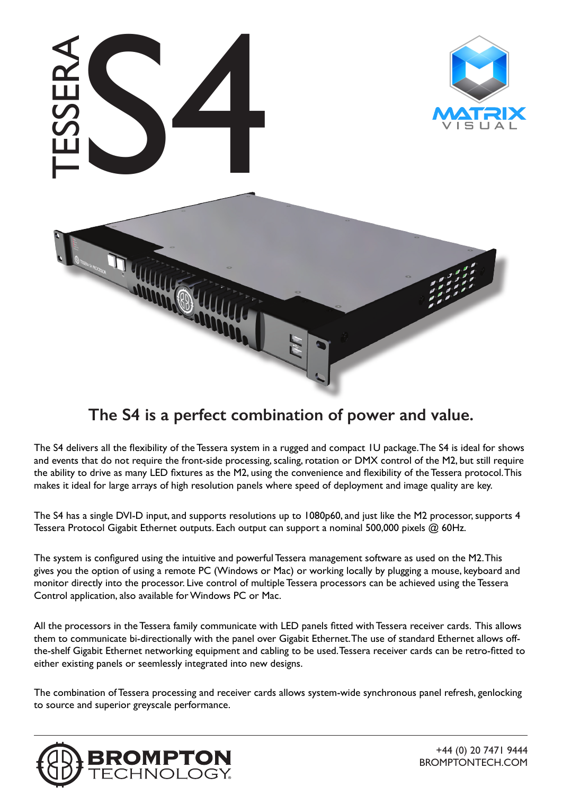

# **The S4 is a perfect combination of power and value.**

The S4 delivers all the flexibility of the Tessera system in a rugged and compact 1U package. The S4 is ideal for shows and events that do not require the front-side processing, scaling, rotation or DMX control of the M2, but still require the ability to drive as many LED fixtures as the M2, using the convenience and flexibility of the Tessera protocol. This makes it ideal for large arrays of high resolution panels where speed of deployment and image quality are key.

The S4 has a single DVI-D input, and supports resolutions up to 1080p60, and just like the M2 processor, supports 4 Tessera Protocol Gigabit Ethernet outputs. Each output can support a nominal 500,000 pixels @ 60Hz.

The system is configured using the intuitive and powerful Tessera management software as used on the M2. This gives you the option of using a remote PC (Windows or Mac) or working locally by plugging a mouse, keyboard and monitor directly into the processor. Live control of multiple Tessera processors can be achieved using the Tessera Control application, also available for Windows PC or Mac.

All the processors in the Tessera family communicate with LED panels fitted with Tessera receiver cards. This allows them to communicate bi-directionally with the panel over Gigabit Ethernet. The use of standard Ethernet allows offthe-shelf Gigabit Ethernet networking equipment and cabling to be used. Tessera receiver cards can be retro-fitted to either existing panels or seemlessly integrated into new designs.

The combination of Tessera processing and receiver cards allows system-wide synchronous panel refresh, genlocking to source and superior greyscale performance.



BROMPTONTECH.COM +44 (0) 20 7471 9444